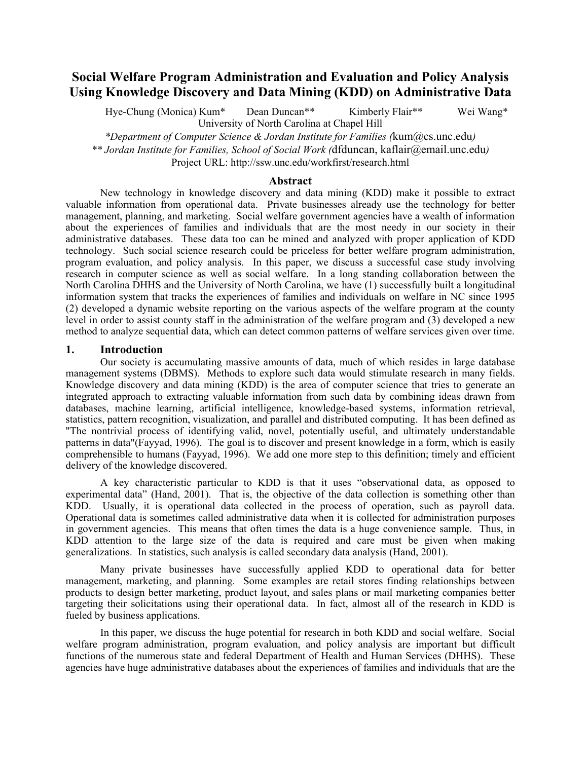# **Social Welfare Program Administration and Evaluation and Policy Analysis Using Knowledge Discovery and Data Mining (KDD) on Administrative Data**

Hye-Chung (Monica) Kum<sup>\*</sup> Dean Duncan<sup>\*\*</sup> Kimberly Flair<sup>\*\*</sup> Wei Wang<sup>\*</sup> University of North Carolina at Chapel Hill

*\*Department of Computer Science & Jordan Institute for Families (*kum@cs.unc.edu*)* 

*\*\* Jordan Institute for Families, School of Social Work (*dfduncan, kaflair@email.unc.edu*)* 

Project URL: http://ssw.unc.edu/workfirst/research.html

#### **Abstract**

New technology in knowledge discovery and data mining (KDD) make it possible to extract valuable information from operational data. Private businesses already use the technology for better management, planning, and marketing. Social welfare government agencies have a wealth of information about the experiences of families and individuals that are the most needy in our society in their administrative databases. These data too can be mined and analyzed with proper application of KDD technology. Such social science research could be priceless for better welfare program administration, program evaluation, and policy analysis. In this paper, we discuss a successful case study involving research in computer science as well as social welfare. In a long standing collaboration between the North Carolina DHHS and the University of North Carolina, we have (1) successfully built a longitudinal information system that tracks the experiences of families and individuals on welfare in NC since 1995 (2) developed a dynamic website reporting on the various aspects of the welfare program at the county level in order to assist county staff in the administration of the welfare program and (3) developed a new method to analyze sequential data, which can detect common patterns of welfare services given over time.

## **1. Introduction**

Our society is accumulating massive amounts of data, much of which resides in large database management systems (DBMS). Methods to explore such data would stimulate research in many fields. Knowledge discovery and data mining (KDD) is the area of computer science that tries to generate an integrated approach to extracting valuable information from such data by combining ideas drawn from databases, machine learning, artificial intelligence, knowledge-based systems, information retrieval, statistics, pattern recognition, visualization, and parallel and distributed computing. It has been defined as "The nontrivial process of identifying valid, novel, potentially useful, and ultimately understandable patterns in data"(Fayyad, 1996). The goal is to discover and present knowledge in a form, which is easily comprehensible to humans (Fayyad, 1996). We add one more step to this definition; timely and efficient delivery of the knowledge discovered.

A key characteristic particular to KDD is that it uses "observational data, as opposed to experimental data" (Hand, 2001). That is, the objective of the data collection is something other than KDD. Usually, it is operational data collected in the process of operation, such as payroll data. Operational data is sometimes called administrative data when it is collected for administration purposes in government agencies. This means that often times the data is a huge convenience sample. Thus, in KDD attention to the large size of the data is required and care must be given when making generalizations. In statistics, such analysis is called secondary data analysis (Hand, 2001).

Many private businesses have successfully applied KDD to operational data for better management, marketing, and planning. Some examples are retail stores finding relationships between products to design better marketing, product layout, and sales plans or mail marketing companies better targeting their solicitations using their operational data. In fact, almost all of the research in KDD is fueled by business applications.

In this paper, we discuss the huge potential for research in both KDD and social welfare. Social welfare program administration, program evaluation, and policy analysis are important but difficult functions of the numerous state and federal Department of Health and Human Services (DHHS). These agencies have huge administrative databases about the experiences of families and individuals that are the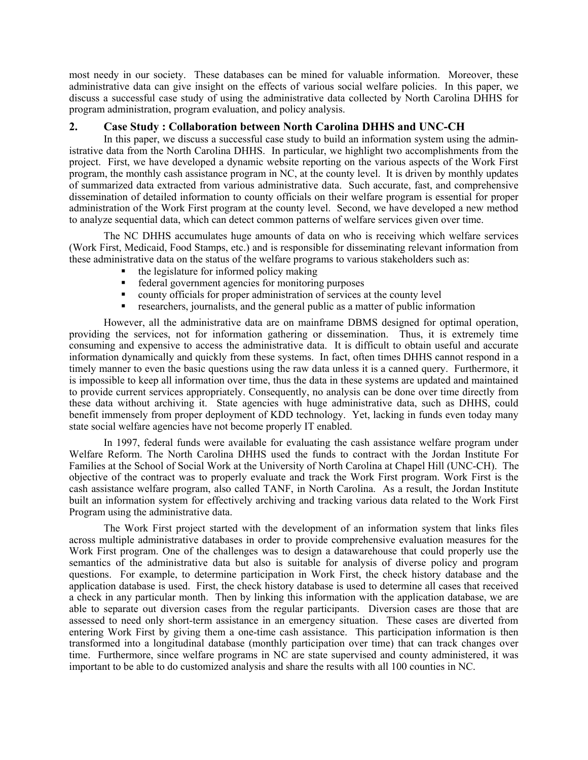most needy in our society. These databases can be mined for valuable information. Moreover, these administrative data can give insight on the effects of various social welfare policies. In this paper, we discuss a successful case study of using the administrative data collected by North Carolina DHHS for program administration, program evaluation, and policy analysis.

# **2. Case Study : Collaboration between North Carolina DHHS and UNC-CH**

In this paper, we discuss a successful case study to build an information system using the administrative data from the North Carolina DHHS. In particular, we highlight two accomplishments from the project. First, we have developed a dynamic website reporting on the various aspects of the Work First program, the monthly cash assistance program in NC, at the county level. It is driven by monthly updates of summarized data extracted from various administrative data. Such accurate, fast, and comprehensive dissemination of detailed information to county officials on their welfare program is essential for proper administration of the Work First program at the county level. Second, we have developed a new method to analyze sequential data, which can detect common patterns of welfare services given over time.

The NC DHHS accumulates huge amounts of data on who is receiving which welfare services (Work First, Medicaid, Food Stamps, etc.) and is responsible for disseminating relevant information from these administrative data on the status of the welfare programs to various stakeholders such as:

- the legislature for informed policy making
- federal government agencies for monitoring purposes<br>■ county officials for proper administration of services a
- **County officials for proper administration of services at the county level**<br>**Example 1** researchers journalists and the general public as a matter of public information
- researchers, journalists, and the general public as a matter of public information

However, all the administrative data are on mainframe DBMS designed for optimal operation, providing the services, not for information gathering or dissemination. Thus, it is extremely time consuming and expensive to access the administrative data. It is difficult to obtain useful and accurate information dynamically and quickly from these systems. In fact, often times DHHS cannot respond in a timely manner to even the basic questions using the raw data unless it is a canned query. Furthermore, it is impossible to keep all information over time, thus the data in these systems are updated and maintained to provide current services appropriately. Consequently, no analysis can be done over time directly from these data without archiving it. State agencies with huge administrative data, such as DHHS, could benefit immensely from proper deployment of KDD technology. Yet, lacking in funds even today many state social welfare agencies have not become properly IT enabled.

In 1997, federal funds were available for evaluating the cash assistance welfare program under Welfare Reform. The North Carolina DHHS used the funds to contract with the Jordan Institute For Families at the School of Social Work at the University of North Carolina at Chapel Hill (UNC-CH). The objective of the contract was to properly evaluate and track the Work First program. Work First is the cash assistance welfare program, also called TANF, in North Carolina. As a result, the Jordan Institute built an information system for effectively archiving and tracking various data related to the Work First Program using the administrative data.

The Work First project started with the development of an information system that links files across multiple administrative databases in order to provide comprehensive evaluation measures for the Work First program. One of the challenges was to design a datawarehouse that could properly use the semantics of the administrative data but also is suitable for analysis of diverse policy and program questions. For example, to determine participation in Work First, the check history database and the application database is used. First, the check history database is used to determine all cases that received a check in any particular month. Then by linking this information with the application database, we are able to separate out diversion cases from the regular participants. Diversion cases are those that are assessed to need only short-term assistance in an emergency situation. These cases are diverted from entering Work First by giving them a one-time cash assistance. This participation information is then transformed into a longitudinal database (monthly participation over time) that can track changes over time. Furthermore, since welfare programs in NC are state supervised and county administered, it was important to be able to do customized analysis and share the results with all 100 counties in NC.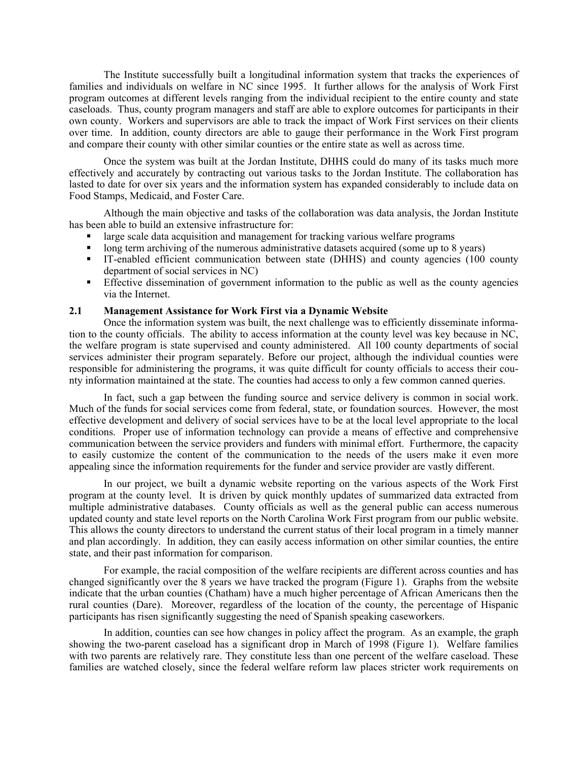The Institute successfully built a longitudinal information system that tracks the experiences of families and individuals on welfare in NC since 1995. It further allows for the analysis of Work First program outcomes at different levels ranging from the individual recipient to the entire county and state caseloads. Thus, county program managers and staff are able to explore outcomes for participants in their own county. Workers and supervisors are able to track the impact of Work First services on their clients over time. In addition, county directors are able to gauge their performance in the Work First program and compare their county with other similar counties or the entire state as well as across time.

Once the system was built at the Jordan Institute, DHHS could do many of its tasks much more effectively and accurately by contracting out various tasks to the Jordan Institute. The collaboration has lasted to date for over six years and the information system has expanded considerably to include data on Food Stamps, Medicaid, and Foster Care.

Although the main objective and tasks of the collaboration was data analysis, the Jordan Institute has been able to build an extensive infrastructure for:

- large scale data acquisition and management for tracking various welfare programs
- long term archiving of the numerous administrative datasets acquired (some up to 8 years)
- IT-enabled efficient communication between state (DHHS) and county agencies (100 county department of social services in NC)
- Effective dissemination of government information to the public as well as the county agencies via the Internet.

## **2.1 Management Assistance for Work First via a Dynamic Website**

Once the information system was built, the next challenge was to efficiently disseminate information to the county officials. The ability to access information at the county level was key because in NC, the welfare program is state supervised and county administered. All 100 county departments of social services administer their program separately. Before our project, although the individual counties were responsible for administering the programs, it was quite difficult for county officials to access their county information maintained at the state. The counties had access to only a few common canned queries.

In fact, such a gap between the funding source and service delivery is common in social work. Much of the funds for social services come from federal, state, or foundation sources. However, the most effective development and delivery of social services have to be at the local level appropriate to the local conditions. Proper use of information technology can provide a means of effective and comprehensive communication between the service providers and funders with minimal effort. Furthermore, the capacity to easily customize the content of the communication to the needs of the users make it even more appealing since the information requirements for the funder and service provider are vastly different.

In our project, we built a dynamic website reporting on the various aspects of the Work First program at the county level. It is driven by quick monthly updates of summarized data extracted from multiple administrative databases. County officials as well as the general public can access numerous updated county and state level reports on the North Carolina Work First program from our public website. This allows the county directors to understand the current status of their local program in a timely manner and plan accordingly. In addition, they can easily access information on other similar counties, the entire state, and their past information for comparison.

For example, the racial composition of the welfare recipients are different across counties and has changed significantly over the 8 years we have tracked the program (Figure 1). Graphs from the website indicate that the urban counties (Chatham) have a much higher percentage of African Americans then the rural counties (Dare). Moreover, regardless of the location of the county, the percentage of Hispanic participants has risen significantly suggesting the need of Spanish speaking caseworkers.

In addition, counties can see how changes in policy affect the program. As an example, the graph showing the two-parent caseload has a significant drop in March of 1998 (Figure 1). Welfare families with two parents are relatively rare. They constitute less than one percent of the welfare caseload. These families are watched closely, since the federal welfare reform law places stricter work requirements on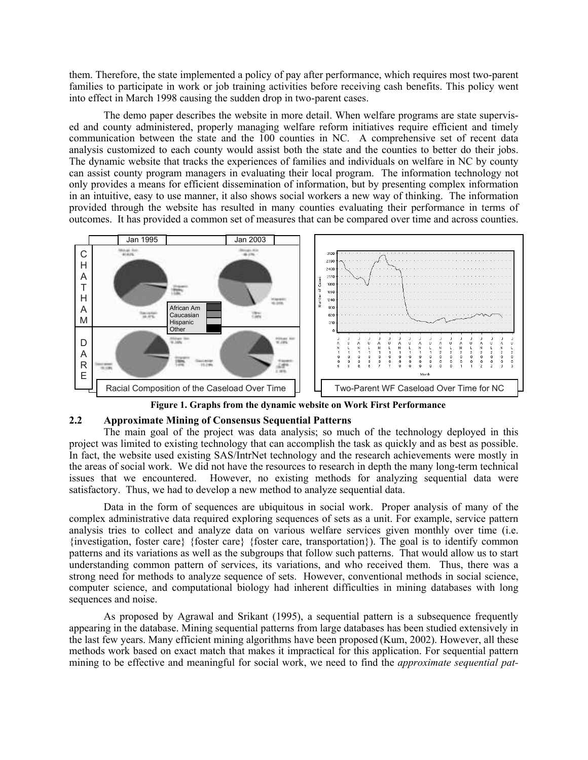them. Therefore, the state implemented a policy of pay after performance, which requires most two-parent families to participate in work or job training activities before receiving cash benefits. This policy went into effect in March 1998 causing the sudden drop in two-parent cases.

The demo paper describes the website in more detail. When welfare programs are state supervised and county administered, properly managing welfare reform initiatives require efficient and timely communication between the state and the 100 counties in NC. A comprehensive set of recent data analysis customized to each county would assist both the state and the counties to better do their jobs. The dynamic website that tracks the experiences of families and individuals on welfare in NC by county can assist county program managers in evaluating their local program. The information technology not only provides a means for efficient dissemination of information, but by presenting complex information in an intuitive, easy to use manner, it also shows social workers a new way of thinking. The information provided through the website has resulted in many counties evaluating their performance in terms of outcomes. It has provided a common set of measures that can be compared over time and across counties.



**Figure 1. Graphs from the dynamic website on Work First Performance** 

#### **2.2 Approximate Mining of Consensus Sequential Patterns**

The main goal of the project was data analysis; so much of the technology deployed in this project was limited to existing technology that can accomplish the task as quickly and as best as possible. In fact, the website used existing SAS/IntrNet technology and the research achievements were mostly in the areas of social work. We did not have the resources to research in depth the many long-term technical issues that we encountered. However, no existing methods for analyzing sequential data were satisfactory. Thus, we had to develop a new method to analyze sequential data.

Data in the form of sequences are ubiquitous in social work. Proper analysis of many of the complex administrative data required exploring sequences of sets as a unit. For example, service pattern analysis tries to collect and analyze data on various welfare services given monthly over time (i.e. {investigation, foster care} {foster care} {foster care, transportation}). The goal is to identify common patterns and its variations as well as the subgroups that follow such patterns. That would allow us to start understanding common pattern of services, its variations, and who received them. Thus, there was a strong need for methods to analyze sequence of sets. However, conventional methods in social science, computer science, and computational biology had inherent difficulties in mining databases with long sequences and noise.

As proposed by Agrawal and Srikant (1995), a sequential pattern is a subsequence frequently appearing in the database. Mining sequential patterns from large databases has been studied extensively in the last few years. Many efficient mining algorithms have been proposed (Kum, 2002). However, all these methods work based on exact match that makes it impractical for this application. For sequential pattern mining to be effective and meaningful for social work, we need to find the *approximate sequential pat-*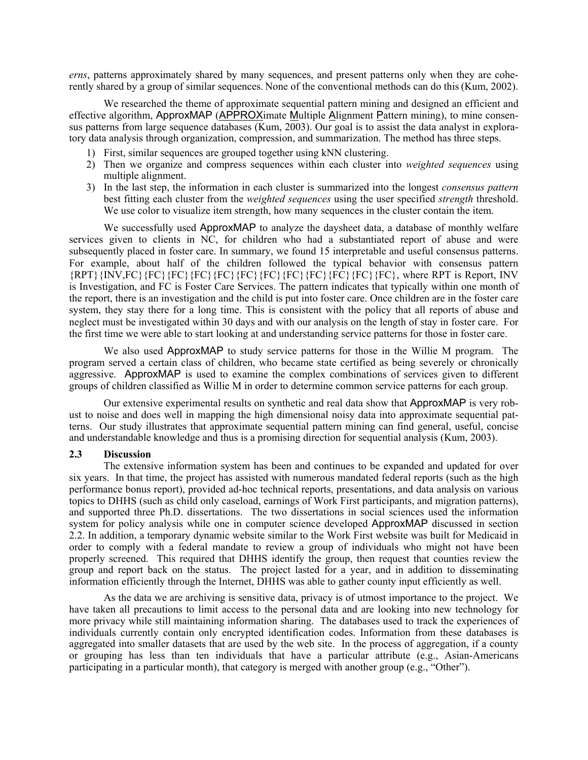*erns*, patterns approximately shared by many sequences, and present patterns only when they are coherently shared by a group of similar sequences. None of the conventional methods can do this(Kum, 2002).

We researched the theme of approximate sequential pattern mining and designed an efficient and effective algorithm, ApproxMAP (APPROXimate Multiple Alignment Pattern mining), to mine consensus patterns from large sequence databases (Kum, 2003). Our goal is to assist the data analyst in exploratory data analysis through organization, compression, and summarization. The method has three steps.

- 1) First, similar sequences are grouped together using kNN clustering.
- 2) Then we organize and compress sequences within each cluster into *weighted sequences* using multiple alignment.
- 3) In the last step, the information in each cluster is summarized into the longest *consensus pattern* best fitting each cluster from the *weighted sequences* using the user specified *strength* threshold. We use color to visualize item strength, how many sequences in the cluster contain the item.

We successfully used ApproxMAP to analyze the daysheet data, a database of monthly welfare services given to clients in NC, for children who had a substantiated report of abuse and were subsequently placed in foster care. In summary, we found 15 interpretable and useful consensus patterns. For example, about half of the children followed the typical behavior with consensus pattern  ${RPT}{INV,FC}{FC}{FC}{FC}{FC}{FC}{FC}{FC}{FC}{FC}{FC}{FC}{FC}{FC}$ is Investigation, and FC is Foster Care Services. The pattern indicates that typically within one month of the report, there is an investigation and the child is put into foster care. Once children are in the foster care system, they stay there for a long time. This is consistent with the policy that all reports of abuse and neglect must be investigated within 30 days and with our analysis on the length of stay in foster care. For the first time we were able to start looking at and understanding service patterns for those in foster care.

We also used ApproxMAP to study service patterns for those in the Willie M program. The program served a certain class of children, who became state certified as being severely or chronically aggressive. ApproxMAP is used to examine the complex combinations of services given to different groups of children classified as Willie M in order to determine common service patterns for each group.

Our extensive experimental results on synthetic and real data show that ApproxMAP is very robust to noise and does well in mapping the high dimensional noisy data into approximate sequential patterns. Our study illustrates that approximate sequential pattern mining can find general, useful, concise and understandable knowledge and thus is a promising direction for sequential analysis (Kum, 2003).

#### **2.3 Discussion**

The extensive information system has been and continues to be expanded and updated for over six years. In that time, the project has assisted with numerous mandated federal reports (such as the high performance bonus report), provided ad-hoc technical reports, presentations, and data analysis on various topics to DHHS (such as child only caseload, earnings of Work First participants, and migration patterns), and supported three Ph.D. dissertations. The two dissertations in social sciences used the information system for policy analysis while one in computer science developed ApproxMAP discussed in section 2.2. In addition, a temporary dynamic website similar to the Work First website was built for Medicaid in order to comply with a federal mandate to review a group of individuals who might not have been properly screened. This required that DHHS identify the group, then request that counties review the group and report back on the status. The project lasted for a year, and in addition to disseminating information efficiently through the Internet, DHHS was able to gather county input efficiently as well.

As the data we are archiving is sensitive data, privacy is of utmost importance to the project. We have taken all precautions to limit access to the personal data and are looking into new technology for more privacy while still maintaining information sharing. The databases used to track the experiences of individuals currently contain only encrypted identification codes. Information from these databases is aggregated into smaller datasets that are used by the web site. In the process of aggregation, if a county or grouping has less than ten individuals that have a particular attribute (e.g., Asian-Americans participating in a particular month), that category is merged with another group (e.g., "Other").